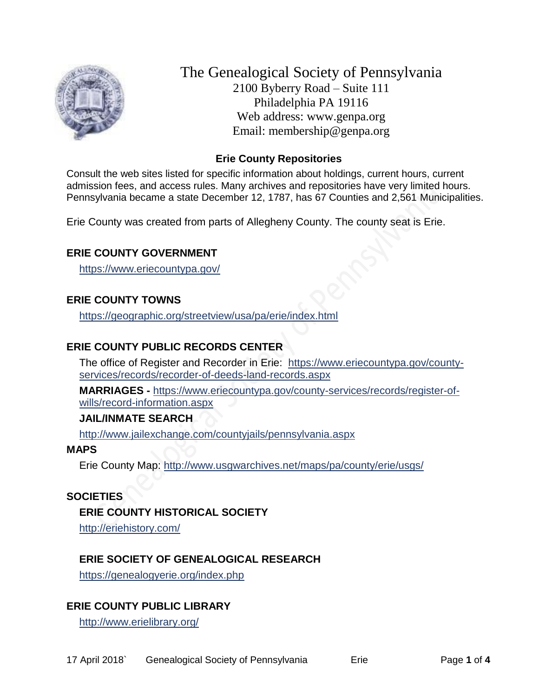

The Genealogical Society of Pennsylvania 2100 Byberry Road – Suite 111 Philadelphia PA 19116 Web address: www.genpa.org Email: membership@genpa.org

## **Erie County Repositories**

Consult the web sites listed for specific information about holdings, current hours, current admission fees, and access rules. Many archives and repositories have very limited hours. Pennsylvania became a state December 12, 1787, has 67 Counties and 2,561 Municipalities.

Erie County was created from parts of Allegheny County. The county seat is Erie.

## **ERIE COUNTY GOVERNMENT**

<https://www.eriecountypa.gov/>

# **ERIE COUNTY TOWNS**

<https://geographic.org/streetview/usa/pa/erie/index.html>

# **ERIE COUNTY PUBLIC RECORDS CENTER**

The office of Register and Recorder in Erie: [https://www.eriecountypa.gov/county](https://www.eriecountypa.gov/county-services/records/recorder-of-deeds-land-records.aspx)[services/records/recorder-of-deeds-land-records.aspx](https://www.eriecountypa.gov/county-services/records/recorder-of-deeds-land-records.aspx)

**MARRIAGES -** [https://www.eriecountypa.gov/county-services/records/register-of](https://www.eriecountypa.gov/county-services/records/register-of-wills/record-information.aspx)[wills/record-information.aspx](https://www.eriecountypa.gov/county-services/records/register-of-wills/record-information.aspx)

#### **JAIL/INMATE SEARCH**

<http://www.jailexchange.com/countyjails/pennsylvania.aspx>

#### **MAPS**

Erie County Map:<http://www.usgwarchives.net/maps/pa/county/erie/usgs/>

## **SOCIETIES**

## **ERIE COUNTY HISTORICAL SOCIETY**

<http://eriehistory.com/>

# **ERIE SOCIETY OF GENEALOGICAL RESEARCH**

<https://genealogyerie.org/index.php>

# **ERIE COUNTY PUBLIC LIBRARY**

<http://www.erielibrary.org/>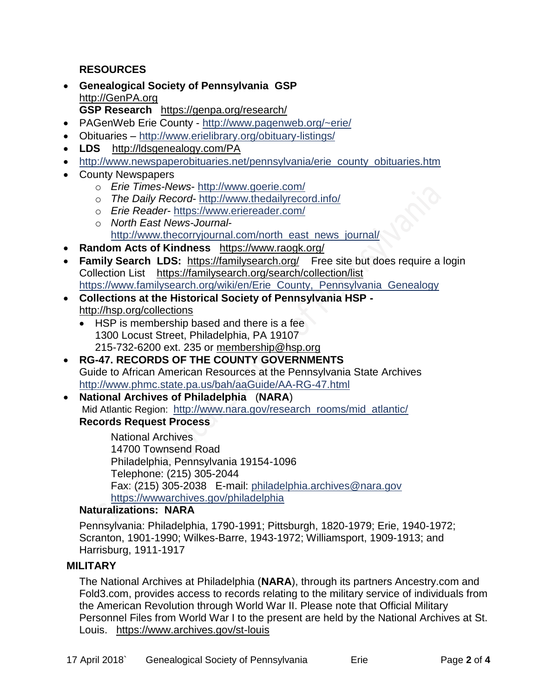**RESOURCES**

- **Genealogical Society of Pennsylvania GSP** [http://GenPA.org](http://genpa.org/) **GSP Research** <https://genpa.org/research/>
- PAGenWeb Erie County <http://www.pagenweb.org/~erie/>
- Obituaries <http://www.erielibrary.org/obituary-listings/>
- **LDS** <http://ldsgenealogy.com/PA>
- [http://www.newspaperobituaries.net/pennsylvania/erie\\_county\\_obituaries.htm](http://www.newspaperobituaries.net/pennsylvania/erie_county_obituaries.htm)
- County Newspapers
	- o *Erie Times-News* <http://www.goerie.com/>
	- o *The Daily Record* <http://www.thedailyrecord.info/>
	- o *Erie Reader* <https://www.eriereader.com/>
	- o *North East News-Journal*[http://www.thecorryjournal.com/north\\_east\\_news\\_journal/](http://www.thecorryjournal.com/north_east_news_journal/)
- **Random Acts of Kindness** <https://www.raogk.org/>
- Family Search LDS: <https://familysearch.org/>Free site but does require a login Collection List <https://familysearch.org/search/collection/list> [https://www.familysearch.org/wiki/en/Erie\\_County,\\_Pennsylvania\\_Genealogy](https://www.familysearch.org/wiki/en/Erie_County,_Pennsylvania_Genealogy)
- **Collections at the Historical Society of Pennsylvania HSP**  <http://hsp.org/collections>
	- HSP is membership based and there is a fee 1300 Locust Street, Philadelphia, PA 19107 215-732-6200 ext. 235 or [membership@hsp.org](mailto:membership@hsp.org)
- **RG-47. RECORDS OF THE COUNTY GOVERNMENTS** Guide to African American Resources at the Pennsylvania State Archives <http://www.phmc.state.pa.us/bah/aaGuide/AA-RG-47.html>
- **National Archives of Philadelphia** (**NARA**) Mid Atlantic Region: [http://www.nara.gov/research\\_rooms/mid\\_atlantic/](http://www.nara.gov/research_rooms/mid_atlantic/) **Records Request Process**

National Archives 14700 Townsend Road Philadelphia, Pennsylvania 19154-1096 Telephone: (215) 305-2044 Fax: (215) 305-2038 E-mail: [philadelphia.archives@nara.gov](mailto:philadelphia.archives@nara.gov) <https://wwwarchives.gov/philadelphia>

## **Naturalizations: NARA**

Pennsylvania: Philadelphia, 1790-1991; Pittsburgh, 1820-1979; Erie, 1940-1972; Scranton, 1901-1990; Wilkes-Barre, 1943-1972; Williamsport, 1909-1913; and Harrisburg, 1911-1917

# **MILITARY**

The National Archives at Philadelphia (**NARA**), through its partners Ancestry.com and Fold3.com, provides access to records relating to the military service of individuals from the American Revolution through World War II. Please note that Official Military Personnel Files from World War I to the present are held by the National Archives at St. Louis. <https://www.archives.gov/st-louis>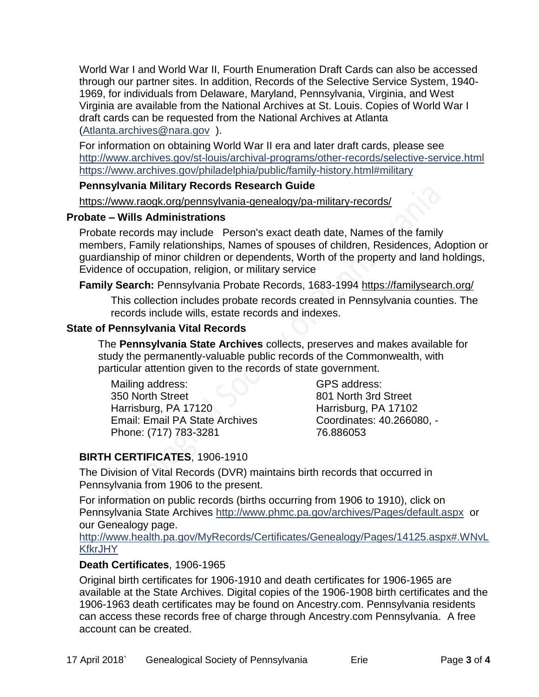World War I and World War II, Fourth Enumeration Draft Cards can also be accessed through our partner sites. In addition, Records of the Selective Service System, 1940- 1969, for individuals from Delaware, Maryland, Pennsylvania, Virginia, and West Virginia are available from the National Archives at St. Louis. Copies of World War I draft cards can be requested from the National Archives at Atlanta [\(Atlanta.archives@nara.gov](mailto:Atlanta.archives@nara.gov) ).

For information on obtaining World War II era and later draft cards, please see <http://www.archives.gov/st-louis/archival-programs/other-records/selective-service.html> <https://www.archives.gov/philadelphia/public/family-history.html#military>

#### **Pennsylvania Military Records Research Guide**

<https://www.raogk.org/pennsylvania-genealogy/pa-military-records/>

#### **Probate – Wills Administrations**

Probate records may include Person's exact death date, Names of the family members, Family relationships, Names of spouses of children, Residences, Adoption or guardianship of minor children or dependents, Worth of the property and land holdings, Evidence of occupation, religion, or military service

## **Family Search:** Pennsylvania Probate Records, 1683-1994 <https://familysearch.org/>

This collection includes probate records created in Pennsylvania counties. The records include wills, estate records and indexes.

## **State of Pennsylvania Vital Records**

The **Pennsylvania State Archives** collects, preserves and makes available for study the permanently-valuable public records of the Commonwealth, with particular attention given to the records of state government.

Mailing address: 350 North Street Harrisburg, PA 17120 Email: Email PA State Archives Phone: (717) 783-3281

GPS address: 801 North 3rd Street Harrisburg, PA 17102 Coordinates: 40.266080, - 76.886053

# **BIRTH CERTIFICATES**, 1906-1910

The Division of Vital Records (DVR) maintains birth records that occurred in Pennsylvania from 1906 to the present.

For information on public records (births occurring from 1906 to 1910), click on Pennsylvania State Archives <http://www.phmc.pa.gov/archives/Pages/default.aspx>or our Genealogy page.

[http://www.health.pa.gov/MyRecords/Certificates/Genealogy/Pages/14125.aspx#.WNvL](http://www.health.pa.gov/MyRecords/Certificates/Genealogy/Pages/14125.aspx#.WNvLKfkrJHY) **[KfkrJHY](http://www.health.pa.gov/MyRecords/Certificates/Genealogy/Pages/14125.aspx#.WNvLKfkrJHY)** 

## **Death Certificates**, 1906-1965

Original birth certificates for 1906-1910 and death certificates for 1906-1965 are available at the State Archives. Digital copies of the 1906-1908 birth certificates and the 1906-1963 death certificates may be found on Ancestry.com. Pennsylvania residents can access these records free of charge through Ancestry.com Pennsylvania. A free account can be created.